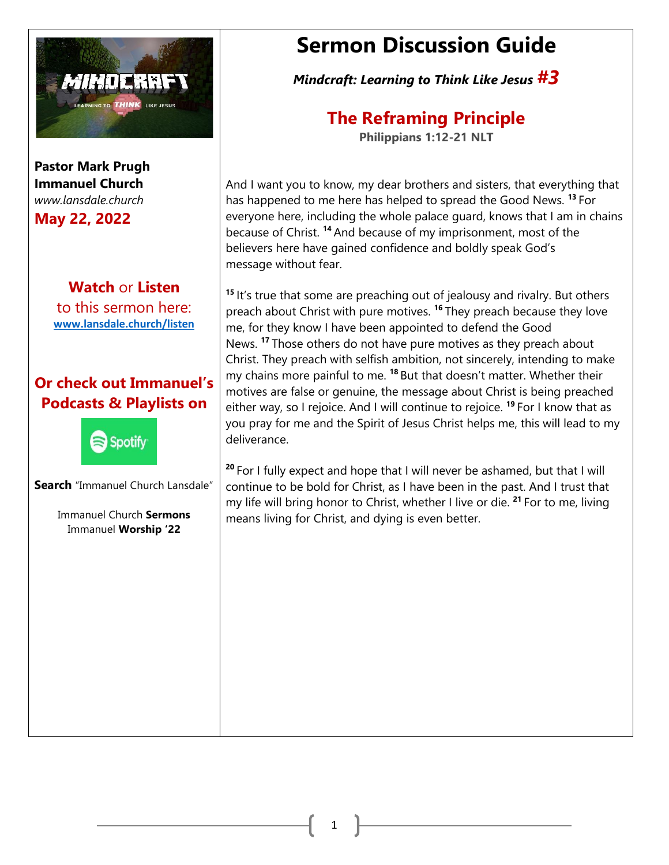

**Pastor Mark Prugh Immanuel Church** *www.lansdale.church* 

**May 22, 2022**

## **Watch** or **Listen**

to this sermon here: **[www.lansdale.church/listen](about:blank)**

## **Or check out Immanuel's Podcasts & Playlists on**



**Search** "Immanuel Church Lansdale"

Immanuel Church **Sermons** Immanuel **Worship '22**

# **Sermon Discussion Guide**

*Mindcraft: Learning to Think Like Jesus #3*

# **The Reframing Principle**

**Philippians 1:12-21 NLT**

And I want you to know, my dear brothers and sisters, that everything that has happened to me here has helped to spread the Good News. **<sup>13</sup>** For everyone here, including the whole palace guard, knows that I am in chains because of Christ. **<sup>14</sup>** And because of my imprisonment, most of the believers here have gained confidence and boldly speak God's message without fear.

**<sup>15</sup>** It's true that some are preaching out of jealousy and rivalry. But others preach about Christ with pure motives. **<sup>16</sup>** They preach because they love me, for they know I have been appointed to defend the Good News. **<sup>17</sup>** Those others do not have pure motives as they preach about Christ. They preach with selfish ambition, not sincerely, intending to make my chains more painful to me. **<sup>18</sup>** But that doesn't matter. Whether their motives are false or genuine, the message about Christ is being preached either way, so I rejoice. And I will continue to rejoice. **<sup>19</sup>** For I know that as you pray for me and the Spirit of Jesus Christ helps me, this will lead to my deliverance.

**<sup>20</sup>** For I fully expect and hope that I will never be ashamed, but that I will continue to be bold for Christ, as I have been in the past. And I trust that my life will bring honor to Christ, whether I live or die. **<sup>21</sup>** For to me, living means living for Christ, and dying is even better.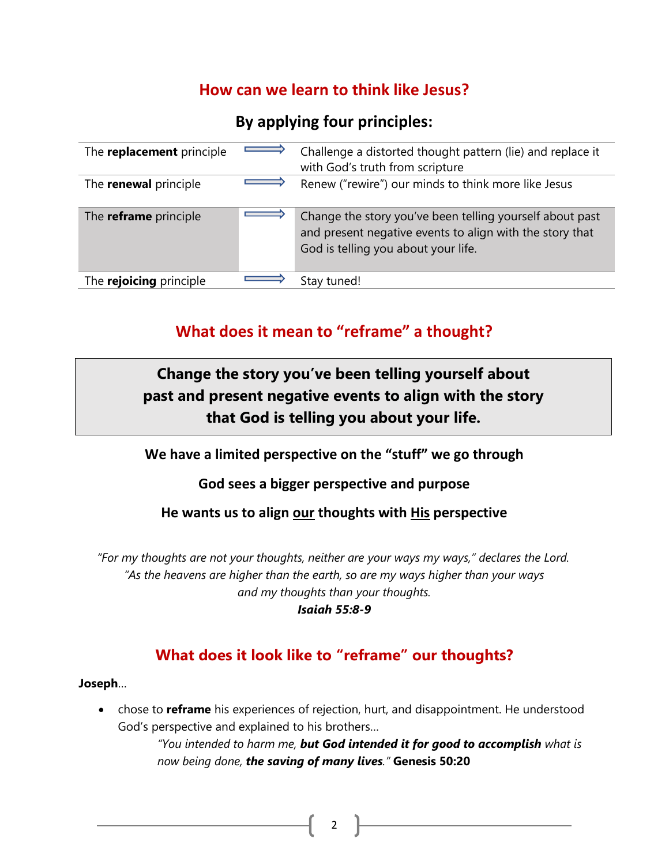### **How can we learn to think like Jesus?**

### **By applying four principles:**

| The <b>replacement</b> principle | Challenge a distorted thought pattern (lie) and replace it<br>with God's truth from scripture                                                               |
|----------------------------------|-------------------------------------------------------------------------------------------------------------------------------------------------------------|
| The <b>renewal</b> principle     | Renew ("rewire") our minds to think more like Jesus                                                                                                         |
| The <b>reframe</b> principle     | Change the story you've been telling yourself about past<br>and present negative events to align with the story that<br>God is telling you about your life. |
| The rejoicing principle          | Stay tuned!                                                                                                                                                 |

## **What does it mean to "reframe" a thought?**

## **Change the story you've been telling yourself about past and present negative events to align with the story that God is telling you about your life.**

### **We have a limited perspective on the "stuff" we go through**

### **God sees a bigger perspective and purpose**

### **He wants us to align our thoughts with His perspective**

*"For my thoughts are not your thoughts, neither are your ways my ways," declares the Lord. "Fix your thoughts…"* **Philippians 4:8***"As the heavens are higher than the earth, so are my ways higher than your ways and my thoughts than your thoughts.*

#### *Isaiah 55:8-9*

### **What does it look like to "reframe" our thoughts?**

#### **Joseph**…

• chose to **reframe** his experiences of rejection, hurt, and disappointment. He understood God's perspective and explained to his brothers…

> *"You intended to harm me, but God intended it for good to accomplish what is now being done, the saving of many lives."* **Genesis 50:20**

> > 2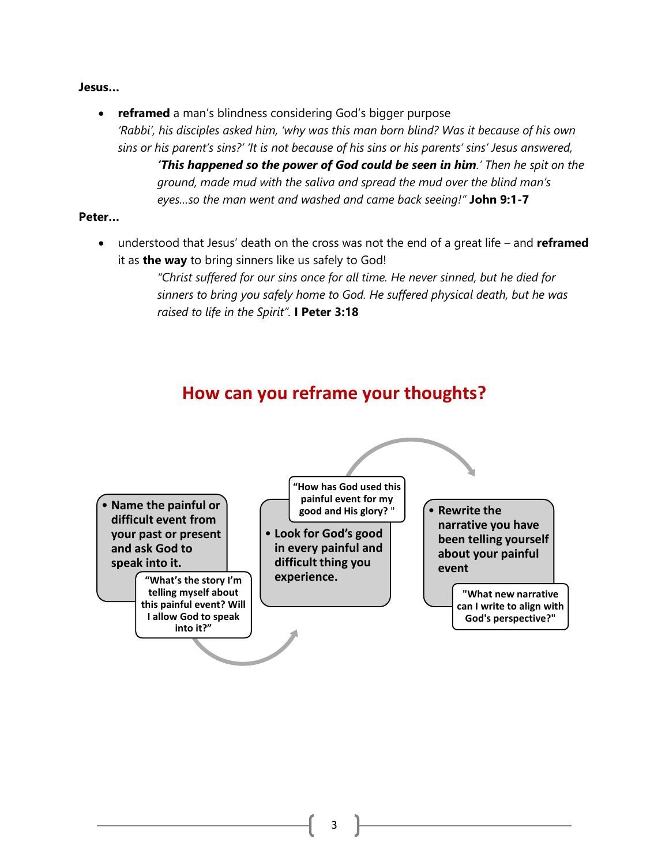#### **Jesus…**

• **reframed** a man's blindness considering God's bigger purpose *'Rabbi', his disciples asked him, 'why was this man born blind? Was it because of his own sins or his parent's sins?' 'It is not because of his sins or his parents' sins' Jesus answered, 'This happened so the power of God could be seen in him.' Then he spit on the ground, made mud with the saliva and spread the mud over the blind man's eyes…so the man went and washed and came back seeing!"* **John 9:1-7**

#### **Peter…**

• understood that Jesus' death on the cross was not the end of a great life – and **reframed**  it as **the way** to bring sinners like us safely to God!

> *"Christ suffered for our sins once for all time. He never sinned, but he died for sinners to bring you safely home to God. He suffered physical death, but he was raised to life in the Spirit".* **I Peter 3:18**

## **How can you reframe your thoughts?**

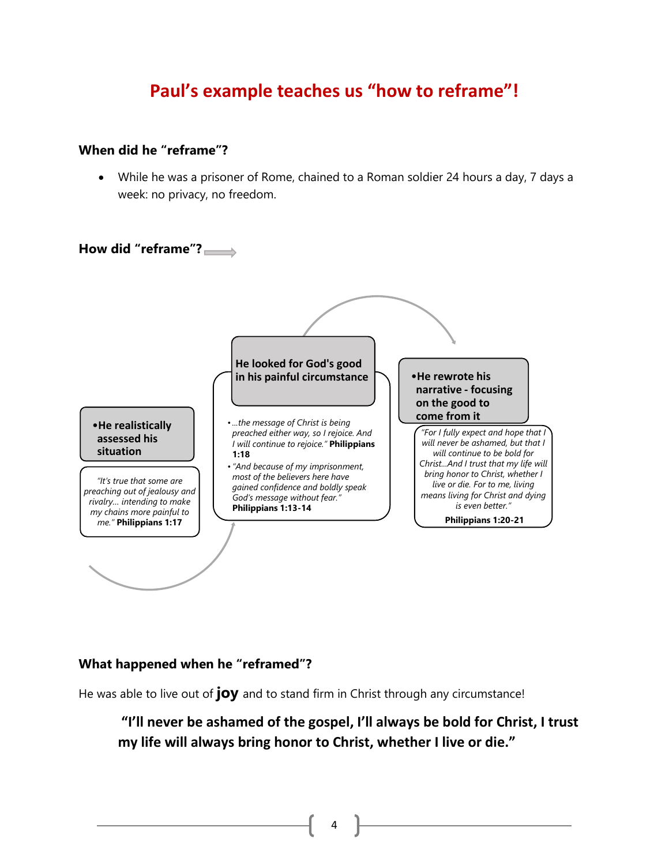## **Paul's example teaches us "how to reframe"!**

#### **When did he "reframe"?**

• While he was a prisoner of Rome, chained to a Roman soldier 24 hours a day, 7 days a week: no privacy, no freedom.



#### **What happened when he "reframed"?**

He was able to live out of **joy** and to stand firm in Christ through any circumstance!

### **"I'll never be ashamed of the gospel, I'll always be bold for Christ, I trust my life will always bring honor to Christ, whether I live or die."**

4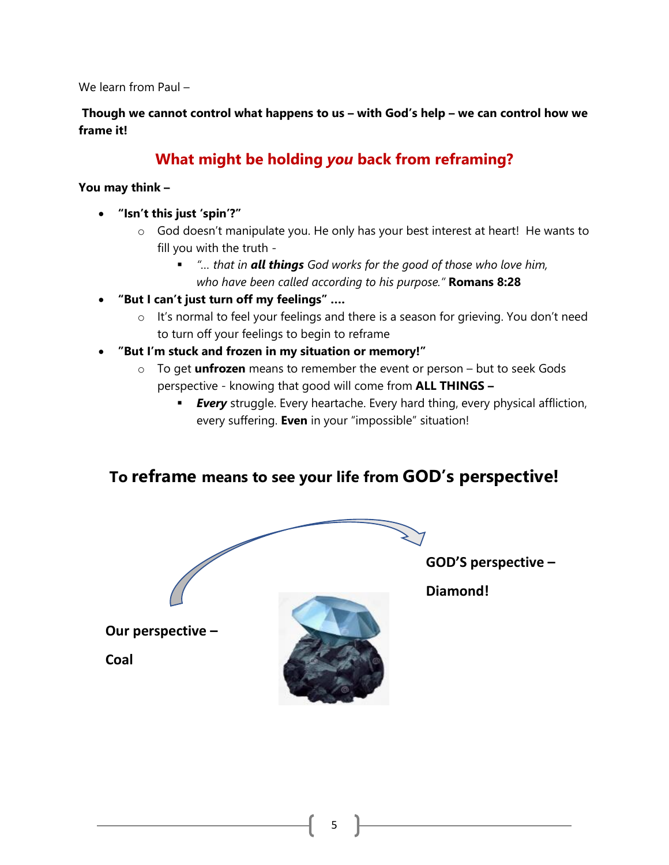We learn from Paul –

**Though we cannot control what happens to us – with God's help – we can control how we frame it!**

## **What might be holding** *you* **back from reframing?**

#### **You may think –**

- **"Isn't this just 'spin'?"** 
	- o God doesn't manipulate you. He only has your best interest at heart! He wants to fill you with the truth -
		- *"*... that in **all things** God works for the good of those who love him, *who have been called according to his purpose."* **Romans 8:28**
- **"But I can't just turn off my feelings" ….**
	- o It's normal to feel your feelings and there is a season for grieving. You don't need to turn off your feelings to begin to reframe
- **"But I'm stuck and frozen in my situation or memory!"**
	- o To get **unfrozen** means to remember the event or person but to seek Gods perspective - knowing that good will come from **ALL THINGS –**
		- **Every** struggle. Every heartache. Every hard thing, every physical affliction, every suffering. **Even** in your "impossible" situation!

### **To reframe means to see your life from GOD's perspective!**

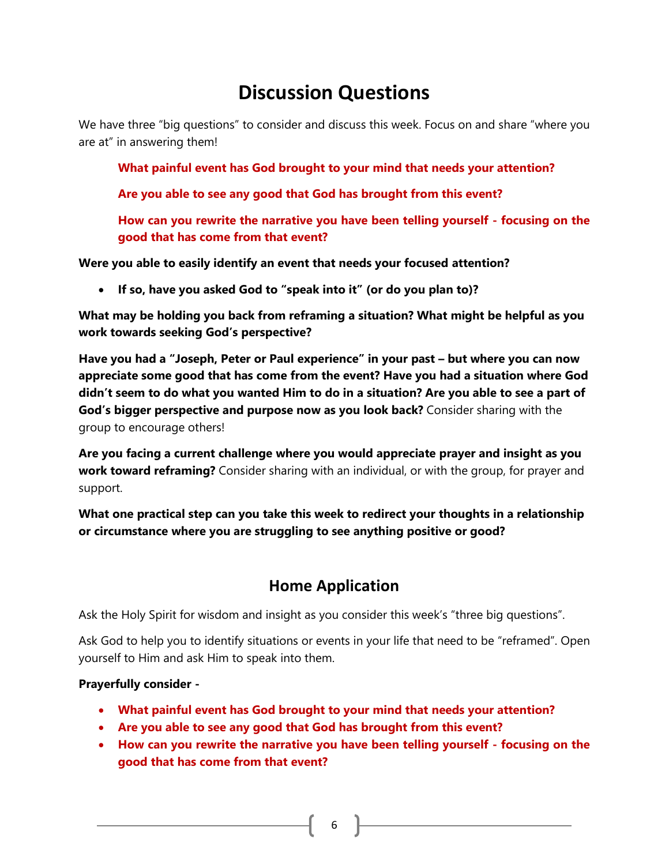# **Discussion Questions**

We have three "big questions" to consider and discuss this week. Focus on and share "where you are at" in answering them!

**What painful event has God brought to your mind that needs your attention?**

**Are you able to see any good that God has brought from this event?**

**How can you rewrite the narrative you have been telling yourself - focusing on the good that has come from that event?**

**Were you able to easily identify an event that needs your focused attention?**

• **If so, have you asked God to "speak into it" (or do you plan to)?**

**What may be holding you back from reframing a situation? What might be helpful as you work towards seeking God's perspective?**

**Have you had a "Joseph, Peter or Paul experience" in your past – but where you can now appreciate some good that has come from the event? Have you had a situation where God didn't seem to do what you wanted Him to do in a situation? Are you able to see a part of God's bigger perspective and purpose now as you look back?** Consider sharing with the group to encourage others!

**Are you facing a current challenge where you would appreciate prayer and insight as you work toward reframing?** Consider sharing with an individual, or with the group, for prayer and support.

**What one practical step can you take this week to redirect your thoughts in a relationship or circumstance where you are struggling to see anything positive or good?** 

### **Home Application**

Ask the Holy Spirit for wisdom and insight as you consider this week's "three big questions".

Ask God to help you to identify situations or events in your life that need to be "reframed". Open yourself to Him and ask Him to speak into them.

#### **Prayerfully consider -**

- **What painful event has God brought to your mind that needs your attention?**
- **Are you able to see any good that God has brought from this event?**
- **How can you rewrite the narrative you have been telling yourself - focusing on the good that has come from that event?**

 $6 \quad \}$